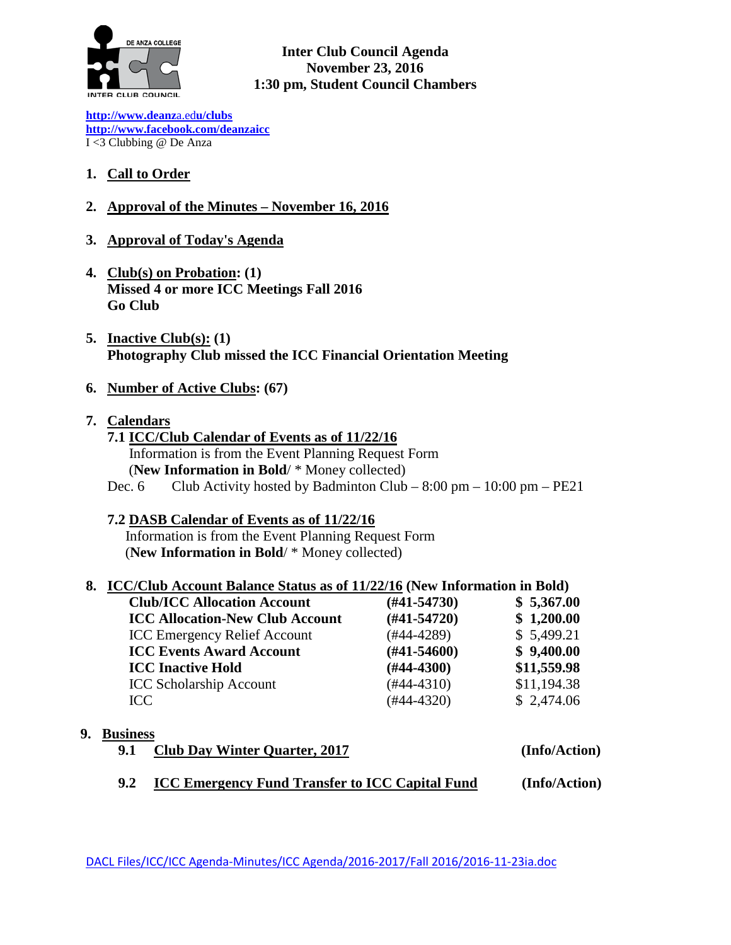

**Inter Club Council Agenda November 23, 2016 1:30 pm, Student Council Chambers**

**[http://www.deanz](http://www.deanza.edu/clubs)**[a.ed](http://www.deanza.edu/clubs)**[u/clubs](http://www.deanza.edu/clubs) [http://www.facebook.com/deanzaicc](http://www.facebook.com/home.php#!/group.php?gid=59034552686)** I <3 Clubbing @ De Anza

- **1. Call to Order**
- **2. Approval of the Minutes – November 16, 2016**
- **3. Approval of Today's Agenda**
- **4. Club(s) on Probation: (1) Missed 4 or more ICC Meetings Fall 2016 Go Club**
- **5. Inactive Club(s): (1) Photography Club missed the ICC Financial Orientation Meeting**
- **6. Number of Active Clubs: (67)**
- **7. Calendars**
	- **7.1 ICC/Club Calendar of Events as of 11/22/16** Information is from the Event Planning Request Form (**New Information in Bold**/ \* Money collected) Dec. 6 Club Activity hosted by Badminton Club –  $8:00 \text{ pm} - 10:00 \text{ pm} - \text{PE21}$
	- **7.2 DASB Calendar of Events as of 11/22/16**

Information is from the Event Planning Request Form (**New Information in Bold**/ \* Money collected)

#### **8. ICC/Club Account Balance Status as of 11/22/16 (New Information in Bold)**

| $(H41-54730)$    | \$5,367.00  |
|------------------|-------------|
| $(#41-54720)$    | \$1,200.00  |
| $(#44-4289)$     | \$5,499.21  |
| $(\#41 - 54600)$ | \$9,400.00  |
| $(H44-4300)$     | \$11,559.98 |
| $(#44-4310)$     | \$11,194.38 |
| $(#44-4320)$     | \$2,474.06  |
|                  |             |

#### **9. Business**

- **9.1 Club Day Winter Quarter, 2017 (Info/Action)**
- **9.2 ICC Emergency Fund Transfer to ICC Capital Fund (Info/Action)**

DACL Files/ICC/ICC Agenda-Minutes/ICC Agenda/2016-2017/Fall 2016/2016-11-23ia.doc